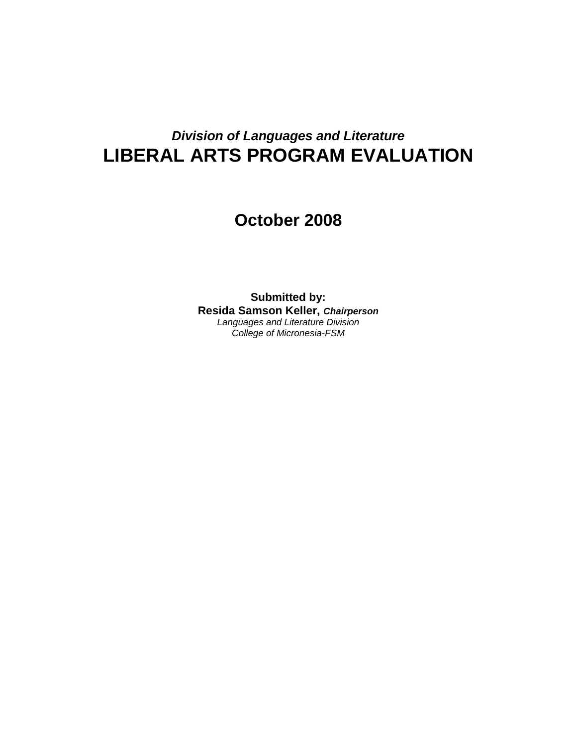# *Division of Languages and Literature* **LIBERAL ARTS PROGRAM EVALUATION**

# **October 2008**

**Submitted by: Resida Samson Keller,** *Chairperson Languages and Literature Division College of Micronesia-FSM*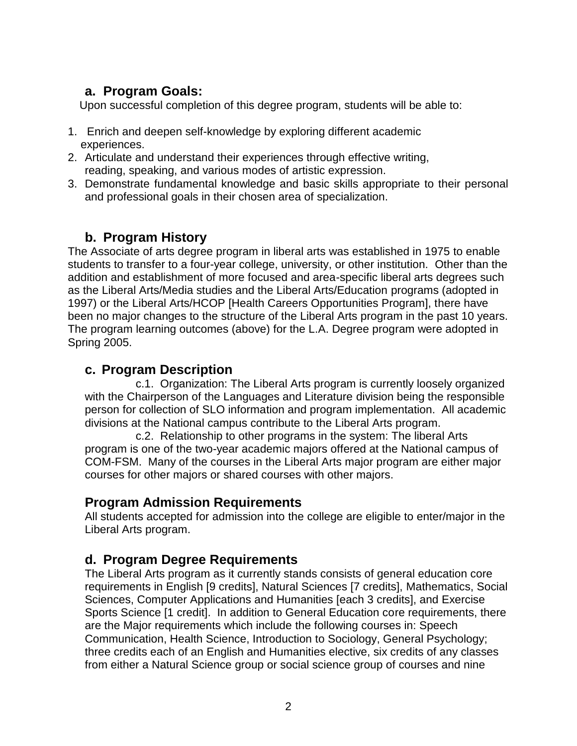# **a. Program Goals:**

Upon successful completion of this degree program, students will be able to:

- 1. Enrich and deepen self-knowledge by exploring different academic experiences.
- 2. Articulate and understand their experiences through effective writing, reading, speaking, and various modes of artistic expression.
- 3. Demonstrate fundamental knowledge and basic skills appropriate to their personal and professional goals in their chosen area of specialization.

# **b. Program History**

The Associate of arts degree program in liberal arts was established in 1975 to enable students to transfer to a four-year college, university, or other institution. Other than the addition and establishment of more focused and area-specific liberal arts degrees such as the Liberal Arts/Media studies and the Liberal Arts/Education programs (adopted in 1997) or the Liberal Arts/HCOP [Health Careers Opportunities Program], there have been no major changes to the structure of the Liberal Arts program in the past 10 years. The program learning outcomes (above) for the L.A. Degree program were adopted in Spring 2005.

## **c. Program Description**

c.1. Organization: The Liberal Arts program is currently loosely organized with the Chairperson of the Languages and Literature division being the responsible person for collection of SLO information and program implementation. All academic divisions at the National campus contribute to the Liberal Arts program.

c.2. Relationship to other programs in the system: The liberal Arts program is one of the two-year academic majors offered at the National campus of COM-FSM. Many of the courses in the Liberal Arts major program are either major courses for other majors or shared courses with other majors.

## **Program Admission Requirements**

All students accepted for admission into the college are eligible to enter/major in the Liberal Arts program.

## **d. Program Degree Requirements**

The Liberal Arts program as it currently stands consists of general education core requirements in English [9 credits], Natural Sciences [7 credits], Mathematics, Social Sciences, Computer Applications and Humanities [each 3 credits], and Exercise Sports Science [1 credit]. In addition to General Education core requirements, there are the Major requirements which include the following courses in: Speech Communication, Health Science, Introduction to Sociology, General Psychology; three credits each of an English and Humanities elective, six credits of any classes from either a Natural Science group or social science group of courses and nine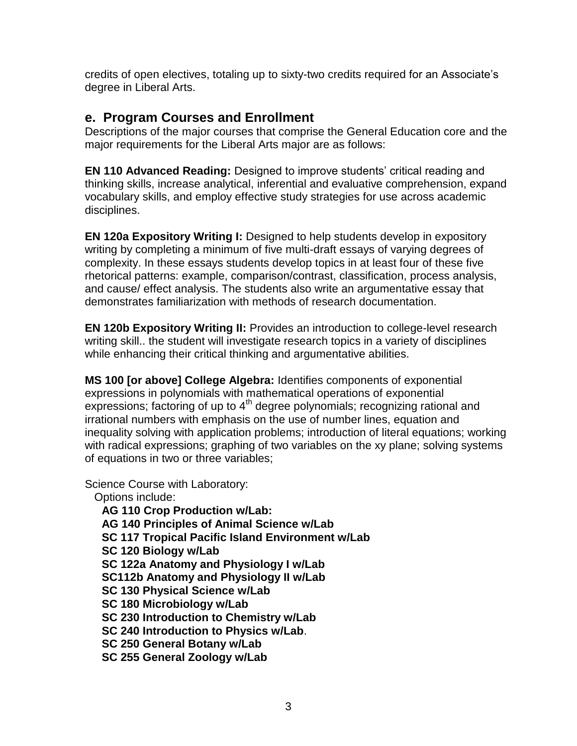credits of open electives, totaling up to sixty-two credits required for an Associate's degree in Liberal Arts.

## **e. Program Courses and Enrollment**

Descriptions of the major courses that comprise the General Education core and the major requirements for the Liberal Arts major are as follows:

**EN 110 Advanced Reading:** Designed to improve students' critical reading and thinking skills, increase analytical, inferential and evaluative comprehension, expand vocabulary skills, and employ effective study strategies for use across academic disciplines.

**EN 120a Expository Writing I:** Designed to help students develop in expository writing by completing a minimum of five multi-draft essays of varying degrees of complexity. In these essays students develop topics in at least four of these five rhetorical patterns: example, comparison/contrast, classification, process analysis, and cause/ effect analysis. The students also write an argumentative essay that demonstrates familiarization with methods of research documentation.

**EN 120b Expository Writing II:** Provides an introduction to college-level research writing skill.. the student will investigate research topics in a variety of disciplines while enhancing their critical thinking and argumentative abilities.

**MS 100 [or above] College Algebra:** Identifies components of exponential expressions in polynomials with mathematical operations of exponential expressions; factoring of up to  $4<sup>th</sup>$  degree polynomials; recognizing rational and irrational numbers with emphasis on the use of number lines, equation and inequality solving with application problems; introduction of literal equations; working with radical expressions; graphing of two variables on the xy plane; solving systems of equations in two or three variables;

Science Course with Laboratory:

Options include:

**AG 110 Crop Production w/Lab: AG 140 Principles of Animal Science w/Lab SC 117 Tropical Pacific Island Environment w/Lab SC 120 Biology w/Lab SC 122a Anatomy and Physiology I w/Lab SC112b Anatomy and Physiology II w/Lab SC 130 Physical Science w/Lab SC 180 Microbiology w/Lab SC 230 Introduction to Chemistry w/Lab SC 240 Introduction to Physics w/Lab**. **SC 250 General Botany w/Lab SC 255 General Zoology w/Lab**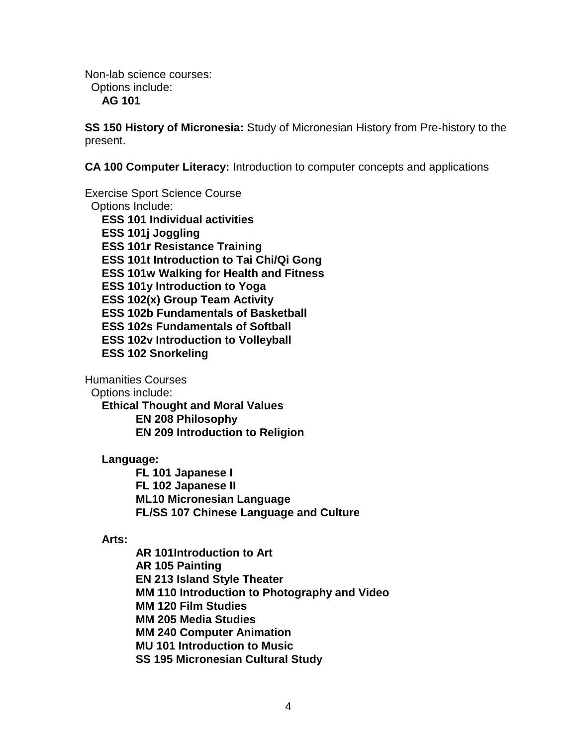Non-lab science courses: Options include: **AG 101**

**SS 150 History of Micronesia:** Study of Micronesian History from Pre-history to the present.

**CA 100 Computer Literacy:** Introduction to computer concepts and applications

Exercise Sport Science Course Options Include: **ESS 101 Individual activities ESS 101j Joggling ESS 101r Resistance Training ESS 101t Introduction to Tai Chi/Qi Gong ESS 101w Walking for Health and Fitness ESS 101y Introduction to Yoga ESS 102(x) Group Team Activity ESS 102b Fundamentals of Basketball ESS 102s Fundamentals of Softball ESS 102v Introduction to Volleyball ESS 102 Snorkeling**

Humanities Courses

Options include:

**Ethical Thought and Moral Values EN 208 Philosophy EN 209 Introduction to Religion**

#### **Language:**

**FL 101 Japanese I FL 102 Japanese II ML10 Micronesian Language FL/SS 107 Chinese Language and Culture**

#### **Arts:**

**AR 101Introduction to Art AR 105 Painting EN 213 Island Style Theater MM 110 Introduction to Photography and Video MM 120 Film Studies MM 205 Media Studies MM 240 Computer Animation MU 101 Introduction to Music SS 195 Micronesian Cultural Study**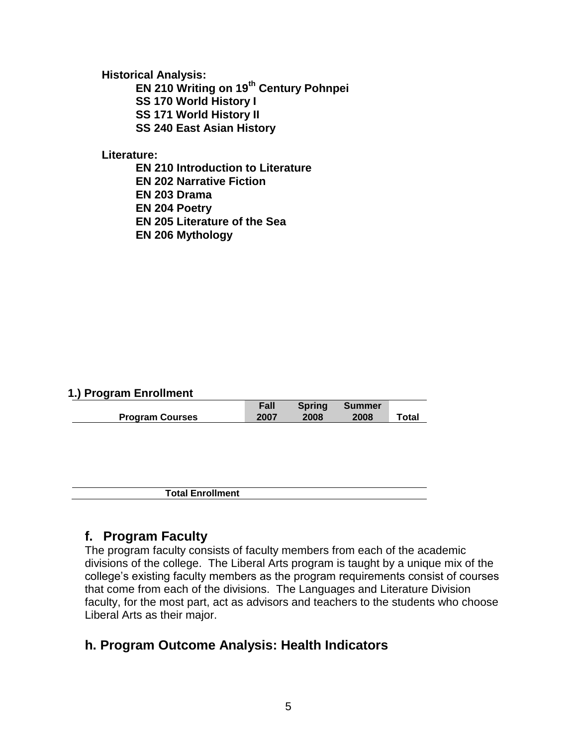**Historical Analysis:**

**EN 210 Writing on 19th Century Pohnpei**

**SS 170 World History I**

**SS 171 World History II**

**SS 240 East Asian History**

**Literature:**

**EN 210 Introduction to Literature**

**EN 202 Narrative Fiction** 

**EN 203 Drama**

**EN 204 Poetry**

**EN 205 Literature of the Sea**

**EN 206 Mythology**

#### **1.) Program Enrollment**

|                        | Fall | <b>Spring</b> | Summer |       |
|------------------------|------|---------------|--------|-------|
| <b>Program Courses</b> | 2007 | 2008          | 2008   | Total |

**Total Enrollment**

## **f. Program Faculty**

The program faculty consists of faculty members from each of the academic divisions of the college. The Liberal Arts program is taught by a unique mix of the college's existing faculty members as the program requirements consist of courses that come from each of the divisions. The Languages and Literature Division faculty, for the most part, act as advisors and teachers to the students who choose Liberal Arts as their major.

## **h. Program Outcome Analysis: Health Indicators**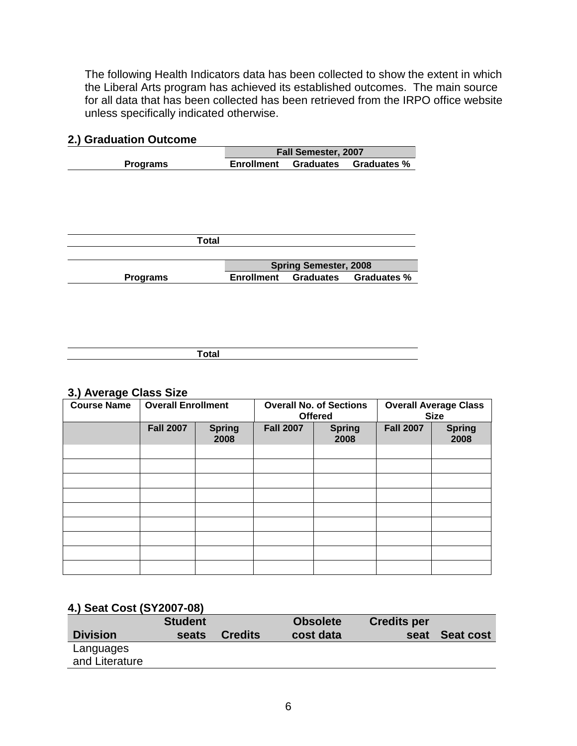The following Health Indicators data has been collected to show the extent in which the Liberal Arts program has achieved its established outcomes. The main source for all data that has been collected has been retrieved from the IRPO office website unless specifically indicated otherwise.

|                   |                              | Fall Semester, 2007 |  |  |  |  |
|-------------------|------------------------------|---------------------|--|--|--|--|
| <b>Enrollment</b> | <b>Graduates</b>             | <b>Graduates %</b>  |  |  |  |  |
|                   |                              |                     |  |  |  |  |
|                   |                              |                     |  |  |  |  |
|                   |                              |                     |  |  |  |  |
|                   |                              |                     |  |  |  |  |
|                   |                              |                     |  |  |  |  |
|                   |                              |                     |  |  |  |  |
|                   |                              |                     |  |  |  |  |
|                   |                              |                     |  |  |  |  |
|                   | <b>Spring Semester, 2008</b> |                     |  |  |  |  |
| <b>Enrollment</b> |                              | <b>Graduates %</b>  |  |  |  |  |
|                   | <b>Total</b>                 | <b>Graduates</b>    |  |  |  |  |

#### **2.) Graduation Outcome**

| - - - -<br>vuar |  |
|-----------------|--|
|                 |  |

#### **3.) Average Class Size**

| $\tilde{\phantom{a}}$<br><b>Course Name</b> | <b>Overall Enrollment</b> |                       |                  | <b>Overall No. of Sections</b><br><b>Offered</b> | <b>Overall Average Class</b><br><b>Size</b> |                       |
|---------------------------------------------|---------------------------|-----------------------|------------------|--------------------------------------------------|---------------------------------------------|-----------------------|
|                                             | <b>Fall 2007</b>          | <b>Spring</b><br>2008 | <b>Fall 2007</b> | <b>Spring</b><br>2008                            | <b>Fall 2007</b>                            | <b>Spring</b><br>2008 |
|                                             |                           |                       |                  |                                                  |                                             |                       |
|                                             |                           |                       |                  |                                                  |                                             |                       |
|                                             |                           |                       |                  |                                                  |                                             |                       |
|                                             |                           |                       |                  |                                                  |                                             |                       |
|                                             |                           |                       |                  |                                                  |                                             |                       |
|                                             |                           |                       |                  |                                                  |                                             |                       |
|                                             |                           |                       |                  |                                                  |                                             |                       |
|                                             |                           |                       |                  |                                                  |                                             |                       |
|                                             |                           |                       |                  |                                                  |                                             |                       |

### **4.) Seat Cost (SY2007-08)**

|                 | <b>Student</b> |                | <b>Obsolete</b> | <b>Credits per</b> |                  |
|-----------------|----------------|----------------|-----------------|--------------------|------------------|
| <b>Division</b> | seats          | <b>Credits</b> | cost data       | seat               | <b>Seat cost</b> |
| Languages       |                |                |                 |                    |                  |
| and Literature  |                |                |                 |                    |                  |
|                 |                |                |                 |                    |                  |